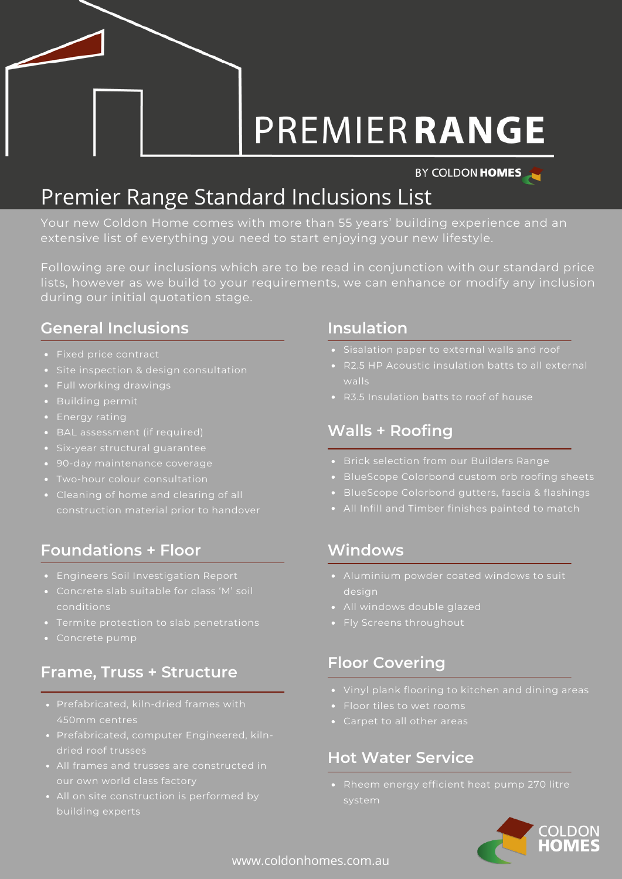# **PREMIERRANGE**

#### BY COLDON HOMES

## Premier Range Standard Inclusions List

Your new Coldon Home comes with more than 55 years' building experience and an extensive list of everything you need to start enjoying your new lifestyle.

Following are our inclusions which are to be read in conjunction with our standard price lists, however as we build to your requirements, we can enhance or modify any inclusion during our initial quotation stage.

### **General Inclusions Insulation**

- Fixed price contract
- Site inspection & design consultation
- Full working drawings
- Building permit
- Energy rating
- 
- Six-year structural guarantee
- 90-day maintenance coverage
- Two-hour colour consultation
- 

### **Foundations + Floor**

- Engineers Soil Investigation Report
- Concrete slab suitable for class 'M' soil conditions
- 
- 

#### **Frame, Truss + Structure**

- Prefabricated, kiln-dried frames with 450mm centres
- Prefabricated, computer Engineered, kiln-
- All frames and trusses are constructed in
- 

- 
- walls
- R3.5 Insulation batts to roof of house

#### **Walls + Roofing**

- Brick selection from our Builders Range
- BlueScope Colorbond custom orb roofing sheets
- 
- 

#### **Windows**

- design
- All windows double glazed
- Fly Screens throughout

#### **Floor Covering**

- 
- Floor tiles to wet rooms
- 

#### **Hot Water Service**

Rheem energy efficient heat pump 270 litre

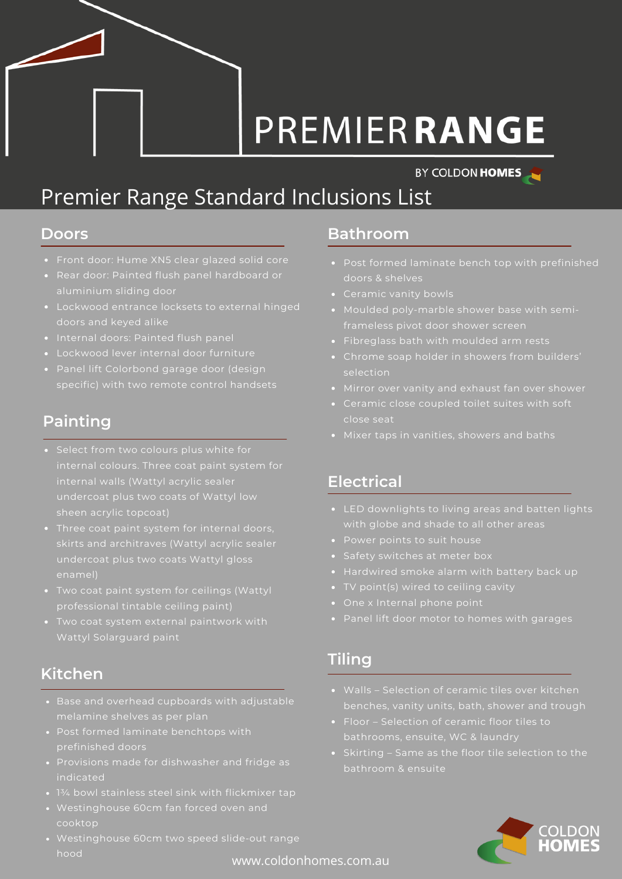# **PREMIERRANGE**

#### BY COLDON HOMES

## Premier Range Standard Inclusions List

- Front door: Hume XN5 clear glazed solid core
- 
- Lockwood entrance locksets to external hinged
- Internal doors: Painted flush panel
- 
- Panel lift Colorbond garage door (design

#### **Painting**

- internal colours. Three coat paint system for sheen acrylic topcoat)
- skirts and architraves (Wattyl acrylic sealer
- Two coat paint system for ceilings (Wattyl professional tintable ceiling paint)
- Wattyl Solarguard paint

#### **Kitchen**

- 
- prefinished doors
- Provisions made for dishwasher and fridge as indicated
- 
- Westinghouse 60cm fan forced oven and cooktop
- Westinghouse 60cm two speed slide-out range hood

#### **Doors Bathroom**

- doors & shelves
- 
- 
- Fibreglass bath with moulded arm rests
- selection
- 
- close seat
- 

#### **Electrical**

- LED downlights to living areas and batten lights with globe and shade to all other areas
- 
- Safety switches at meter box
- 
- 
- 
- Panel lift door motor to homes with garages

#### **Tiling**

- benches, vanity units, bath, shower and trough
- bathrooms, ensuite, WC & laundry
- Skirting Same as the floor tile selection to the



www.coldonhomes.com.au